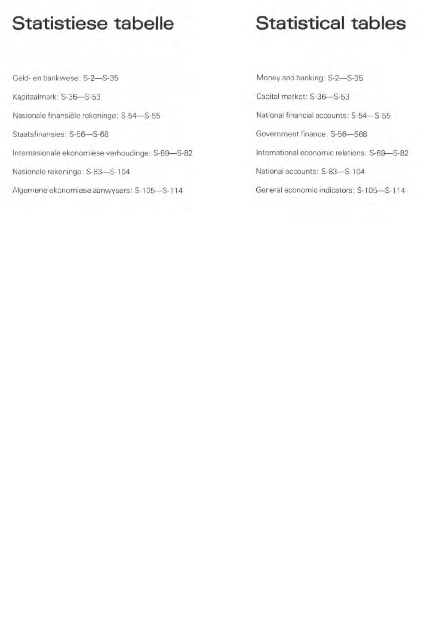## Statistiese tabelle

### Geld- en bankwese: S-2-S-35 Kapitaalmark: S-36-S-53 Nasionale finansiële rekeninge: S-54-S-55 Staatsfinansies: S-56-S-68 Internasionale ekonomiese verhoudinge: S-69-S-82 Nasionale rekeninge: S-83-S-104

Aigemene ekonomiese aanwysers: S-105-S-1 14

# Statistical tables

Money and banking: S-2-S-35 Capital market: S-36-S-53 National financial accounts: S-54-S-55 Government finance: 5·56-568 International economic relations: S-69-S-82 National accounts: S-83-S-104 General economic indicators: S-105-S-114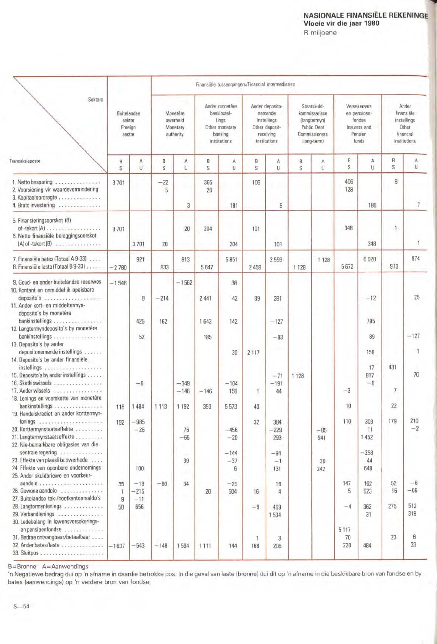#### NASIONALE FINANSIËLE REKENINGE<br>Vloeie vir die jaar 1980 R miljoene

|                                                                                                                                                                                |                                            | Finansièle tussengangers/Financial intermediaties |                                               |                  |                                                                                     |                      |                                                                                          |                       |                                                                                             |              |                                                                            |                          |                                                                          |               |
|--------------------------------------------------------------------------------------------------------------------------------------------------------------------------------|--------------------------------------------|---------------------------------------------------|-----------------------------------------------|------------------|-------------------------------------------------------------------------------------|----------------------|------------------------------------------------------------------------------------------|-----------------------|---------------------------------------------------------------------------------------------|--------------|----------------------------------------------------------------------------|--------------------------|--------------------------------------------------------------------------|---------------|
| Sektore                                                                                                                                                                        | Buitelandse<br>sektor<br>Foreign<br>sector |                                                   | Monetêre<br>owerheid<br>Monetary<br>authority |                  | Ander monetêre<br>bankinstel-<br>lings<br>Other monetary<br>banking<br>institutions |                      | Ander deposito-<br>nemende<br>instellings<br>Other deposit-<br>receiving<br>institutions |                       | Staatskuld-<br>kommissarisse<br>(langtermyn)<br>Public Dept<br>Commissioners<br>(long-term) |              | Versekeraars<br>en pensioen-<br>fandse<br>Insurers and<br>Pension<br>funds |                          | Ander<br>finansiële<br>instellings<br>Other<br>financial<br>institutions |               |
| Transaksieposte                                                                                                                                                                | B<br>S                                     | Ā<br>U                                            | B<br>S                                        | A<br>U           | B<br>S                                                                              | А<br>U               | B<br>S                                                                                   | Α<br>U                | B<br>S                                                                                      | Α<br>U       | B<br>S                                                                     | Α<br>U.                  | B<br>S                                                                   | A<br>U        |
| 1. Netto besparing<br>2. Voorsiening vir waardevermindering<br>3. Kapitaaloordragte<br>4. Bruto investering                                                                    | 3701                                       |                                                   | $-22$<br>5                                    | 3                | 365<br>20                                                                           | 181                  | 106                                                                                      | 5                     |                                                                                             |              | 406<br>128                                                                 | 186                      | 8                                                                        | 7             |
| 5. Finansieringsoorskot (B)<br>6. Netto finansiële beleggingsoorskot<br>$(A)$ of -tekort $(B)$                                                                                 | 3701                                       | 3701                                              | 20                                            | 20               | 204                                                                                 | 204                  | 101                                                                                      | 101                   |                                                                                             |              | 348                                                                        | 348                      | $\mathbf{1}$                                                             |               |
| 7. Finansiële bates (Totaal A 9-33)<br>8. Finansièle laste (Totaal B 9-33)                                                                                                     | $-2780$                                    | 921                                               | <b>B33</b>                                    | 813              | 5647                                                                                | 5851                 | 2 4 5 8                                                                                  | 2559                  | 1 1 2 8                                                                                     | 1 1 2 8      | 5672                                                                       | 6020                     | 973                                                                      | 974           |
| 9. Goud- en ander buitelandse reserwes<br>10. Kontant en onmiddellik opeisbare<br>deposito's<br>11. Ander kort- en middeltermyn-<br>deposito's by monetêre<br>bankinstellings  | $-1548$                                    | 8<br>425                                          | $-214$<br>162                                 | $-1562$          | 2 4 4 1<br>1643                                                                     | 38<br>42             | 89                                                                                       | 281                   |                                                                                             |              |                                                                            | $-12$<br>795             |                                                                          | 25            |
| 12. Langtermyndeposito's by monetêre<br>bankinstellings.<br>430 630 630 530 530                                                                                                |                                            | 52                                                |                                               |                  | 185                                                                                 | 142                  |                                                                                          | $-127$<br>$-93$       |                                                                                             |              |                                                                            | 89                       |                                                                          | $-127$        |
| 13. Deposito's by ander<br>depositonemende instellings<br>14. Deposito's by ander finansiële<br>15. Deposito's by ander instellings<br>16. Skatkiswissels<br>17. Ander wissels |                                            | $-6$                                              |                                               | $-349$<br>$-146$ | $-146$                                                                              | 30<br>$-104$<br>158  | 2 1 1 7<br>1                                                                             | $-71$<br>$-191$<br>44 | 1 1 2 8                                                                                     |              | $-3$                                                                       | 158<br>17<br>817<br>$-6$ | 431<br>$\overline{7}$                                                    | 70            |
| 18. Lenings en voorskotte van monetêre<br>bankinstellings<br>19. Handelskrediet en ander korttermyn-                                                                           | 118                                        | 484                                               | 1113                                          | 1 1 9 2          | 393                                                                                 | 5573                 | 43                                                                                       |                       |                                                                                             |              | 10                                                                         |                          | 22                                                                       |               |
| lenings<br>20. Korttermynstaatseffekte<br>21. Langtermynstaatseffekte<br>22. Nie-bemarkbare obligasies van die                                                                 | 192                                        | $-985$<br>$-26$                                   |                                               | 76<br>$-65$      |                                                                                     | $-456$<br>$-20$      | 32                                                                                       | 384<br>$-229$<br>293  |                                                                                             | $-85$<br>941 | 110                                                                        | 303<br>11<br>1452        | 179                                                                      | 210<br>$-2$   |
| sentrale regering<br>23. Effekte van plaaslike owerhede<br>24. Effekte van openbare ondernemings<br>25. Ander skuldbriewe en voorkeur-                                         |                                            | 100                                               |                                               | 39               |                                                                                     | $-144$<br>$-37$<br>6 |                                                                                          | $-94$<br>$-1$<br>131  |                                                                                             | 30<br>242    |                                                                            | $-258$<br>44<br>648      |                                                                          |               |
| 26. Gewone aandele<br>27. Buitelandse tak-/hoofkantoorsaldo's                                                                                                                  | 35<br>1<br>9                               | $-18$<br>$-215$<br>$-11$                          | $-80$                                         | 34<br>÷          | 20                                                                                  | $-25$<br>504         | 16                                                                                       | 16<br>4               |                                                                                             |              | 147<br>5                                                                   | 162<br>923               | 52<br>$-16$                                                              | $-6$<br>$-66$ |
| 28. Langtermynlenings<br>29. Verbandlenings<br>30. Ledebelang in lewensversekerings-<br>en pensioenfondse                                                                      | 50                                         | 656                                               |                                               |                  |                                                                                     |                      | $-9$                                                                                     | 469<br>1534           |                                                                                             |              | $-4$<br>5117                                                               | 362<br>31                | 275                                                                      | 512<br>318    |
| 31. Bedrae ontvangbaar/betaalbaar<br>32. Ander bates/laste                                                                                                                     | $-1637$                                    | $-543$                                            | $-148$                                        | 1594             | 1111                                                                                | 144                  | 1<br>168                                                                                 | 3<br>206              |                                                                                             |              | 70<br>220                                                                  | 484                      | 23                                                                       | 6<br>33       |

B=Bronne A=Aanwendings<br>'n Negatiewe bedrag dui op 'n afname in daardie betrokke pos. In die geval van laste (bronne) dui dit op 'n afname in die beskikbare bron van fondse en by<br>bates (aanwendings) op 'n verdere bron van f